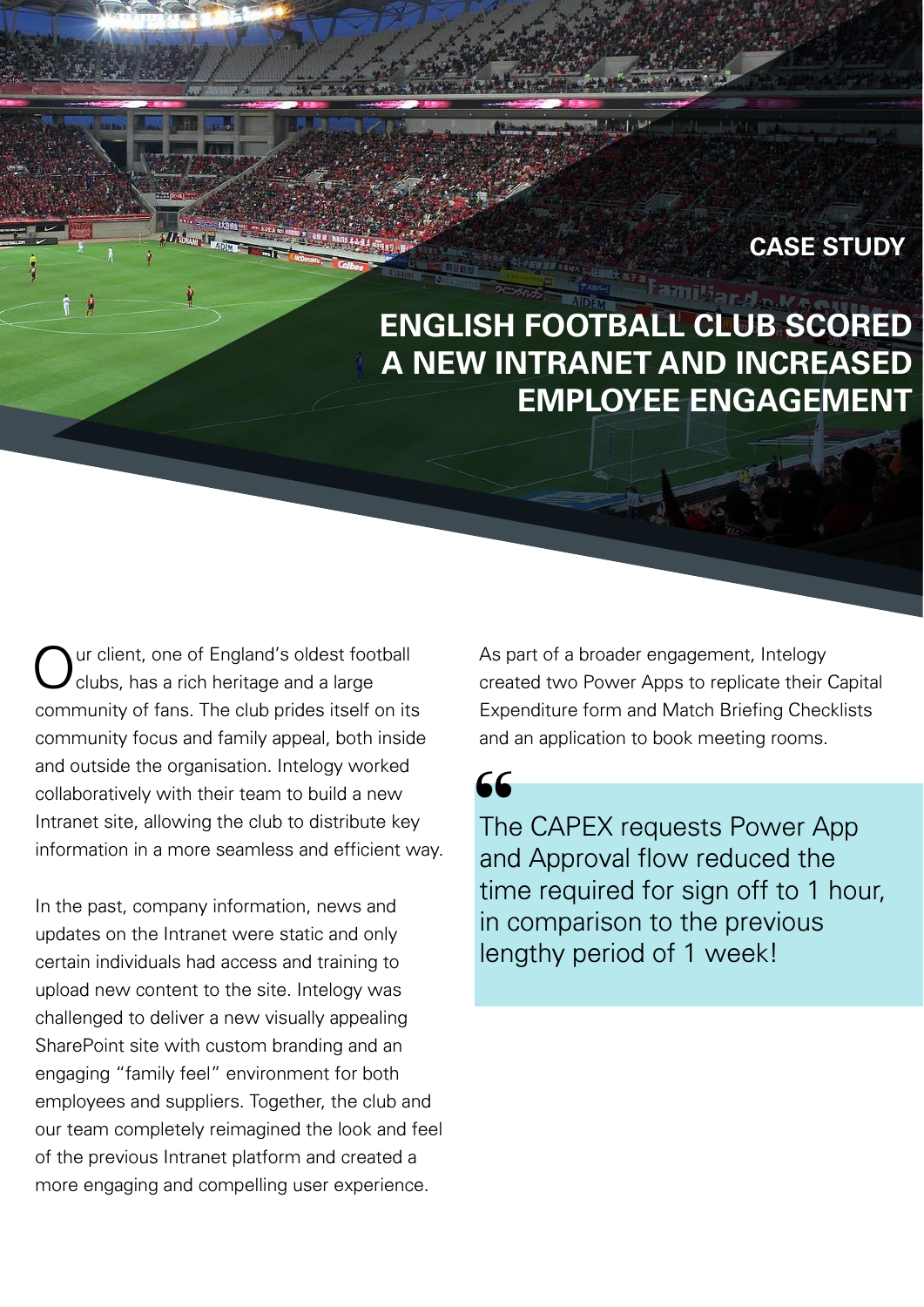#### **CASE STUDY**

# **ENGLISH FOOTBALL CLUB SCORED A NEW INTRANET AND INCREASED EMPLOYEE ENGAGEMENT**

ur client, one of England's oldest football clubs, has a rich heritage and a large community of fans. The club prides itself on its community focus and family appeal, both inside and outside the organisation. Intelogy worked collaboratively with their team to build a new Intranet site, allowing the club to distribute key information in a more seamless and efficient way.

In the past, company information, news and updates on the Intranet were static and only certain individuals had access and training to upload new content to the site. Intelogy was challenged to deliver a new visually appealing SharePoint site with custom branding and an engaging "family feel" environment for both employees and suppliers. Together, the club and our team completely reimagined the look and feel of the previous Intranet platform and created a more engaging and compelling user experience.

As part of a broader engagement, Intelogy created two Power Apps to replicate their Capital Expenditure form and Match Briefing Checklists and an application to book meeting rooms.

66

The CAPEX requests Power App and Approval flow reduced the time required for sign off to 1 hour, in comparison to the previous lengthy period of 1 week!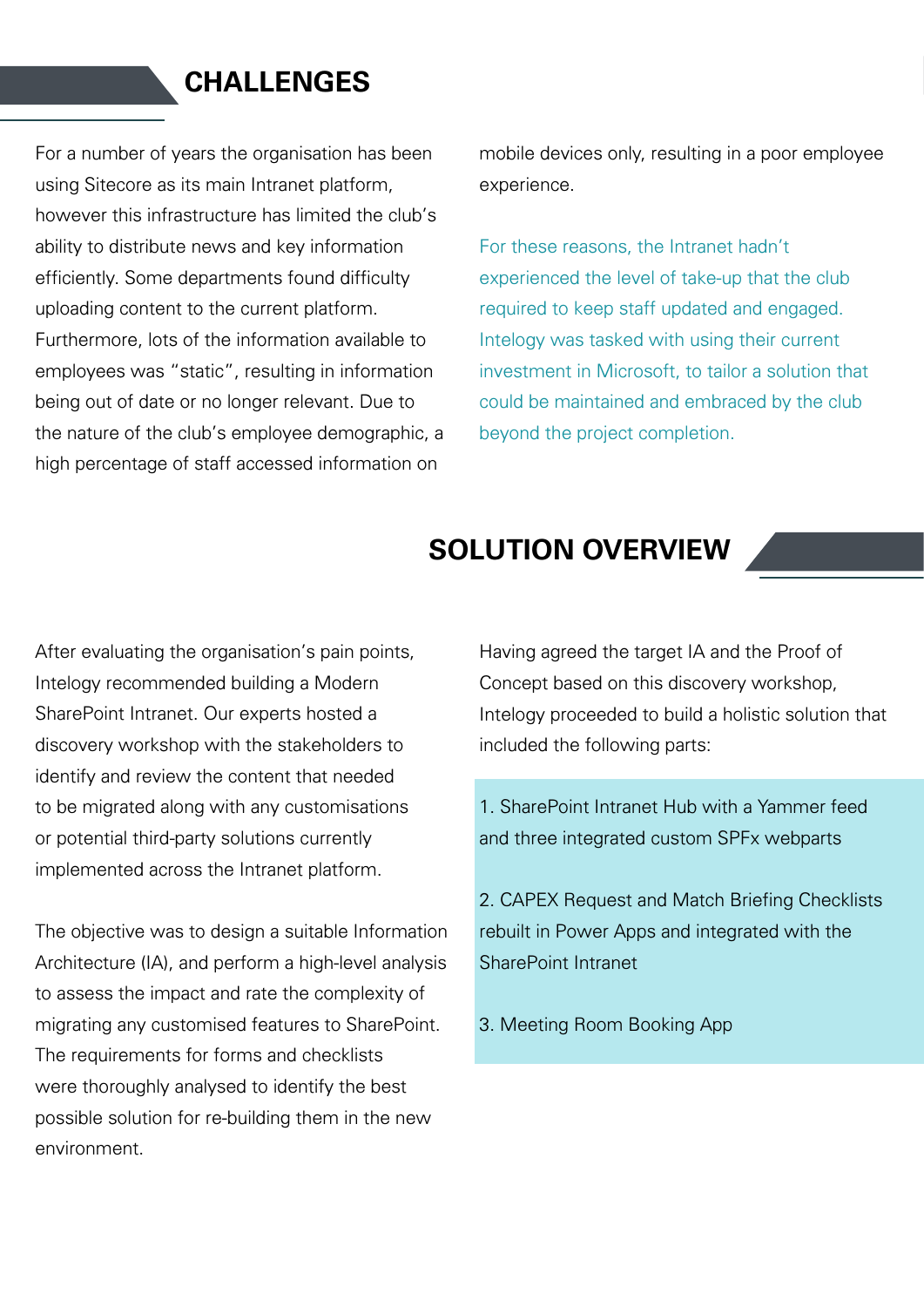#### **CHALLENGES**

For a number of years the organisation has been using Sitecore as its main Intranet platform, however this infrastructure has limited the club's ability to distribute news and key information efficiently. Some departments found difficulty uploading content to the current platform. Furthermore, lots of the information available to employees was "static", resulting in information being out of date or no longer relevant. Due to the nature of the club's employee demographic, a high percentage of staff accessed information on

mobile devices only, resulting in a poor employee experience.

For these reasons, the Intranet hadn't experienced the level of take-up that the club required to keep staff updated and engaged. Intelogy was tasked with using their current investment in Microsoft, to tailor a solution that could be maintained and embraced by the club beyond the project completion.

#### **SOLUTION OVERVIEW**

After evaluating the organisation's pain points, Intelogy recommended building a Modern SharePoint Intranet. Our experts hosted a discovery workshop with the stakeholders to identify and review the content that needed to be migrated along with any customisations or potential third-party solutions currently implemented across the Intranet platform.

The objective was to design a suitable Information Architecture (IA), and perform a high-level analysis to assess the impact and rate the complexity of migrating any customised features to SharePoint. The requirements for forms and checklists were thoroughly analysed to identify the best possible solution for re-building them in the new environment.

Having agreed the target IA and the Proof of Concept based on this discovery workshop, Intelogy proceeded to build a holistic solution that included the following parts:

1. SharePoint Intranet Hub with a Yammer feed and three integrated custom SPFx webparts

2. CAPEX Request and Match Briefing Checklists rebuilt in Power Apps and integrated with the SharePoint Intranet

3. Meeting Room Booking App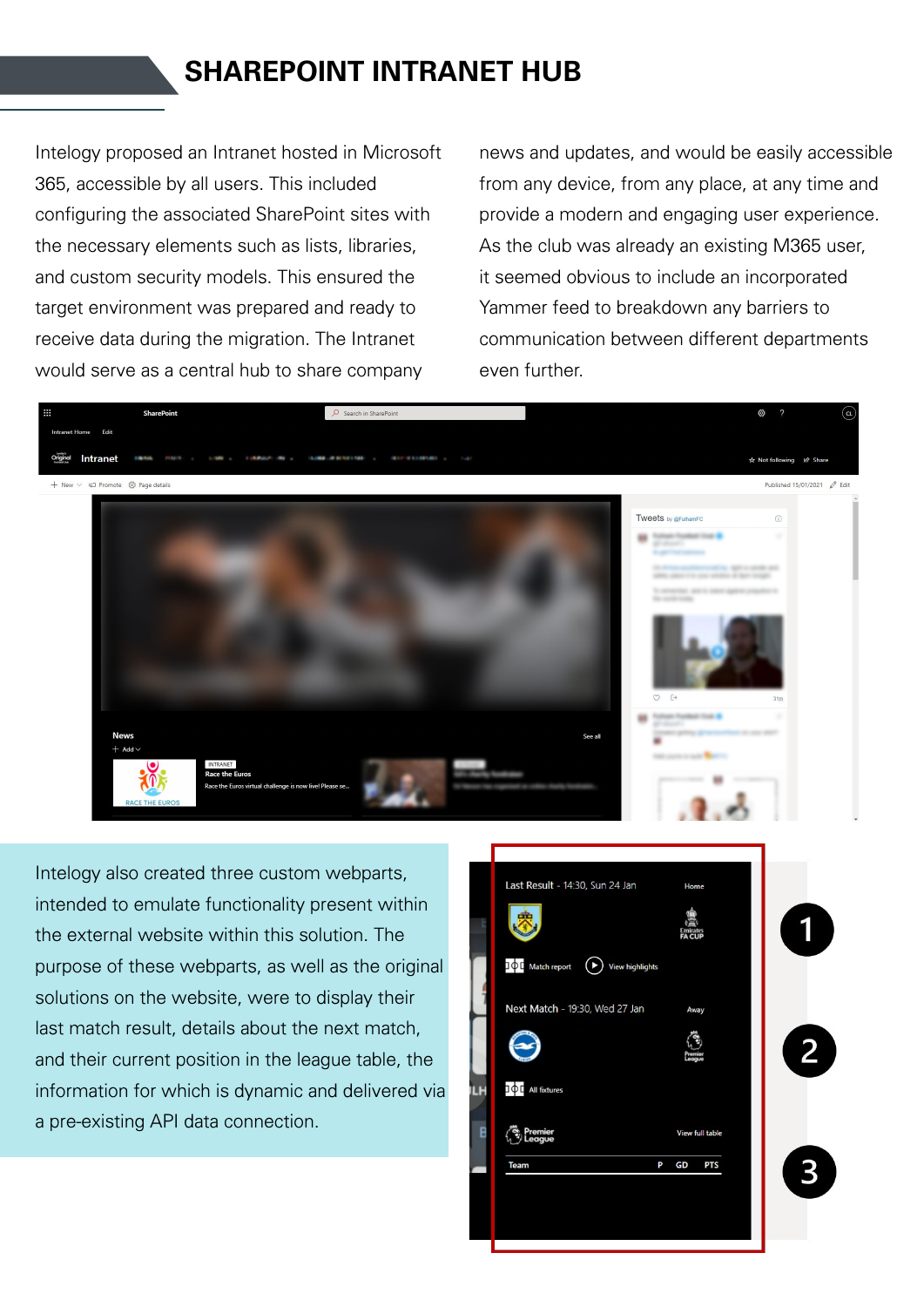## **SHAREPOINT INTRANET HUB**

Intelogy proposed an Intranet hosted in Microsoft 365, accessible by all users. This included configuring the associated SharePoint sites with the necessary elements such as lists, libraries, and custom security models. This ensured the target environment was prepared and ready to receive data during the migration. The Intranet would serve as a central hub to share company

news and updates, and would be easily accessible from any device, from any place, at any time and provide a modern and engaging user experience. As the club was already an existing M365 user, it seemed obvious to include an incorporated Yammer feed to breakdown any barriers to communication between different departments even further.



Intelogy also created three custom webparts, intended to emulate functionality present within the external website within this solution. The purpose of these webparts, as well as the original solutions on the website, were to display their last match result, details about the next match, and their current position in the league table, the information for which is dynamic and delivered via a pre-existing API data connection.

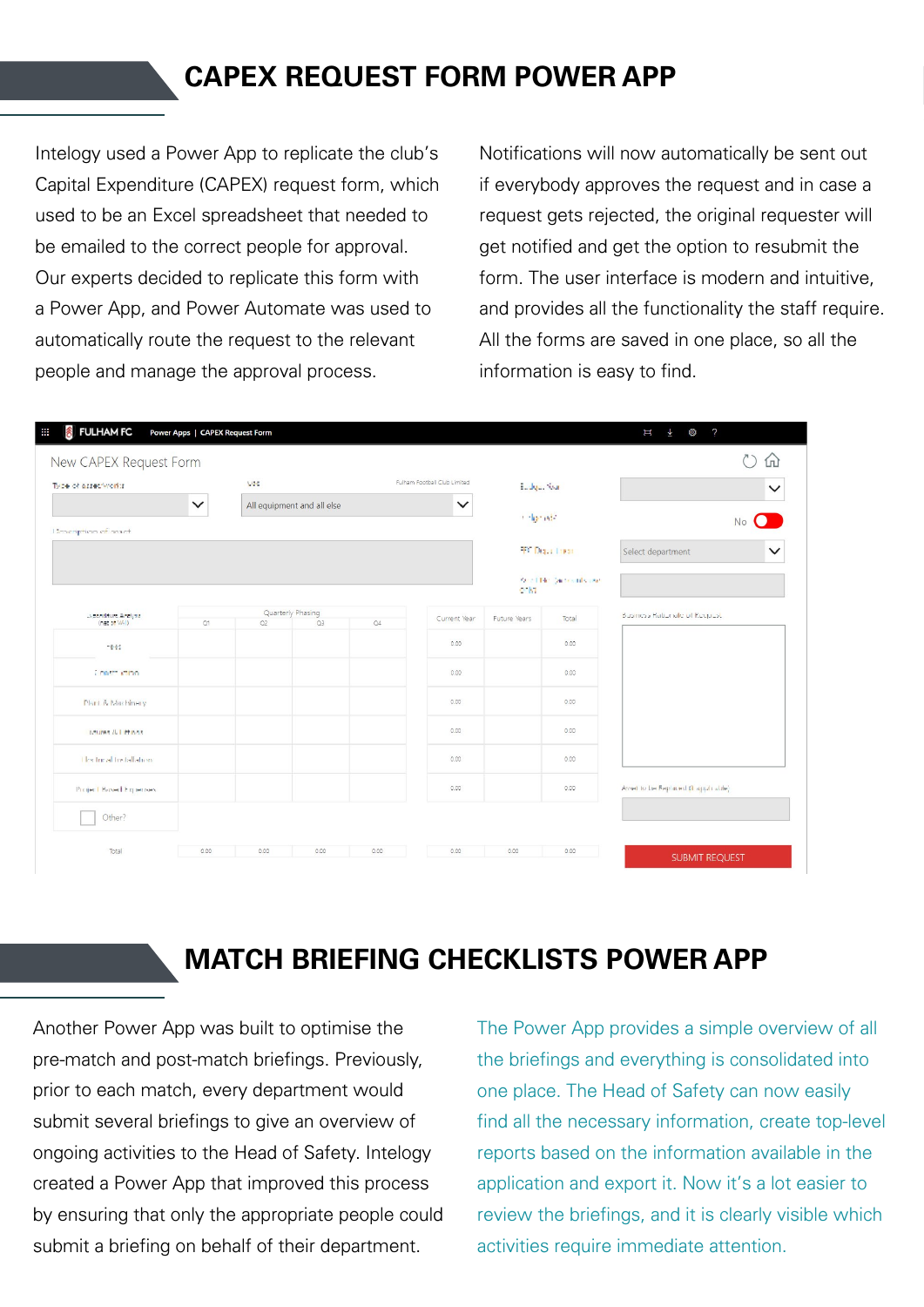## **CAPEX REQUEST FORM POWER APP**

Intelogy used a Power App to replicate the club's Capital Expenditure (CAPEX) request form, which used to be an Excel spreadsheet that needed to be emailed to the correct people for approval. Our experts decided to replicate this form with a Power App, and Power Automate was used to automatically route the request to the relevant people and manage the approval process.

Notifications will now automatically be sent out if everybody approves the request and in case a request gets rejected, the original requester will get notified and get the option to resubmit the form. The user interface is modern and intuitive, and provides all the functionality the staff require. All the forms are saved in one place, so all the information is easy to find.

|                                      | Fulham Football Club Limited<br><b>Vac</b> |                            |                         |    |                                                  |              |                                   |                                      |  |
|--------------------------------------|--------------------------------------------|----------------------------|-------------------------|----|--------------------------------------------------|--------------|-----------------------------------|--------------------------------------|--|
| Type of asset works<br>$\checkmark$  |                                            |                            |                         |    |                                                  | Easton New   |                                   | $\checkmark$<br>No                   |  |
|                                      |                                            | All equipment and all else |                         |    | $\checkmark$                                     | to lighted.  |                                   |                                      |  |
| <b>Unscription of mach</b>           |                                            |                            |                         |    |                                                  |              |                                   |                                      |  |
|                                      |                                            |                            |                         |    | <b>E. Diger Lines</b><br>Auction (activities on) |              | Select department<br>$\checkmark$ |                                      |  |
|                                      |                                            |                            |                         |    |                                                  |              |                                   |                                      |  |
|                                      |                                            |                            |                         |    |                                                  | $-81$        |                                   |                                      |  |
| Listenditure Anglyse<br>(net of MAI) | Q1                                         | Q2                         | Quarterly Phasing<br>Q3 | Q4 | Current Year                                     | Future Years | Total                             | Business Rationale of Recipest       |  |
| Heles.                               |                                            |                            |                         |    | 0.00                                             |              | 0.00                              |                                      |  |
| Construction                         |                                            |                            |                         |    | 0.00                                             |              | 0.00                              |                                      |  |
| Plunt & Machinery                    |                                            |                            |                         |    | 0.00                                             |              | 0.00                              |                                      |  |
| istures & Littings                   |                                            |                            |                         |    | 0.00                                             |              | 0.00                              |                                      |  |
| The treat tretallation:              |                                            |                            |                         |    | 0.00                                             |              | 0.00                              |                                      |  |
| Project Based Expenses:              |                                            |                            |                         |    | 0.00                                             |              | 0.00                              | Asset to be Replaced (if applicable) |  |
| Other?                               |                                            |                            |                         |    |                                                  |              |                                   |                                      |  |

## **MATCH BRIEFING CHECKLISTS POWER APP**

Another Power App was built to optimise the pre-match and post-match briefings. Previously, prior to each match, every department would submit several briefings to give an overview of ongoing activities to the Head of Safety. Intelogy created a Power App that improved this process by ensuring that only the appropriate people could submit a briefing on behalf of their department.

The Power App provides a simple overview of all the briefings and everything is consolidated into one place. The Head of Safety can now easily find all the necessary information, create top-level reports based on the information available in the application and export it. Now it's a lot easier to review the briefings, and it is clearly visible which activities require immediate attention.